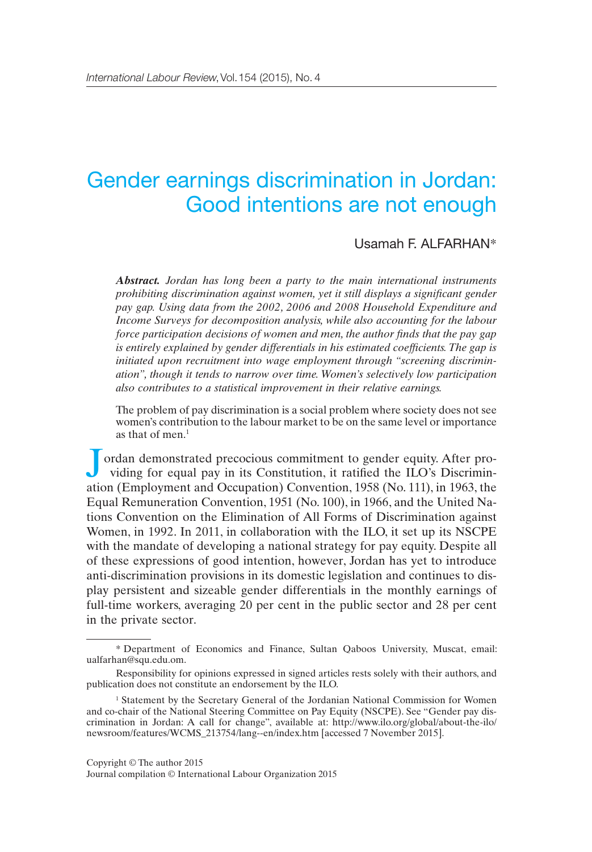# Gender earnings discrimination in Jordan: Good intentions are not enough

Usamah F. ALFARHAN\*

*Abstract. Jordan has long been a party to the main international instruments prohibiting discrimination against women, yet it still displays a significant gender pay gap. Using data from the 2002, 2006 and 2008 Household Expenditure and Income Surveys for decomposition analysis, while also accounting for the labour force participation decisions of women and men, the author finds that the pay gap is entirely explained by gender differentials in his estimated coefficients. The gap is initiated upon recruitment into wage employment through "screening discrimination", though it tends to narrow over time. Women's selectively low participation also contributes to a statistical improvement in their relative earnings.*

The problem of pay discrimination is a social problem where society does not see women's contribution to the labour market to be on the same level or importance as that of men.<sup>1</sup>

Jordan demonstrated precocious commitment to gender equity. After providing for equal pay in its Constitution, it ratified the ILO's Discrimination (Employment and Occupation) Convention, 1958 (No. 111), in 1963, the Equal Remuneration Convention, 1951 (No. 100), in 1966, and the United Nations Convention on the Elimination of All Forms of Discrimination against Women, in 1992. In 2011, in collaboration with the ILO, it set up its NSCPE with the mandate of developing a national strategy for pay equity. Despite all of these expressions of good intention, however, Jordan has yet to introduce anti-discrimination provisions in its domestic legislation and continues to display persistent and sizeable gender differentials in the monthly earnings of full-time workers, averaging 20 per cent in the public sector and 28 per cent in the private sector.

Copyright © The author 2015

Journal compilation © International Labour Organization 2015

<sup>\*</sup> Department of Economics and Finance, Sultan Qaboos University, Muscat, email: ualfarhan@squ.edu.om.

Responsibility for opinions expressed in signed articles rests solely with their authors, and publication does not constitute an endorsement by the ILO.

<sup>&</sup>lt;sup>1</sup> Statement by the Secretary General of the Jordanian National Commission for Women and co-chair of the National Steering Committee on Pay Equity (NSCPE). See "Gender pay discrimination in Jordan: A call for change", available at: http://www.ilo.org/global/about-the-ilo/ newsroom/features/WCMS\_213754/lang--en/index.htm [accessed 7 November 2015].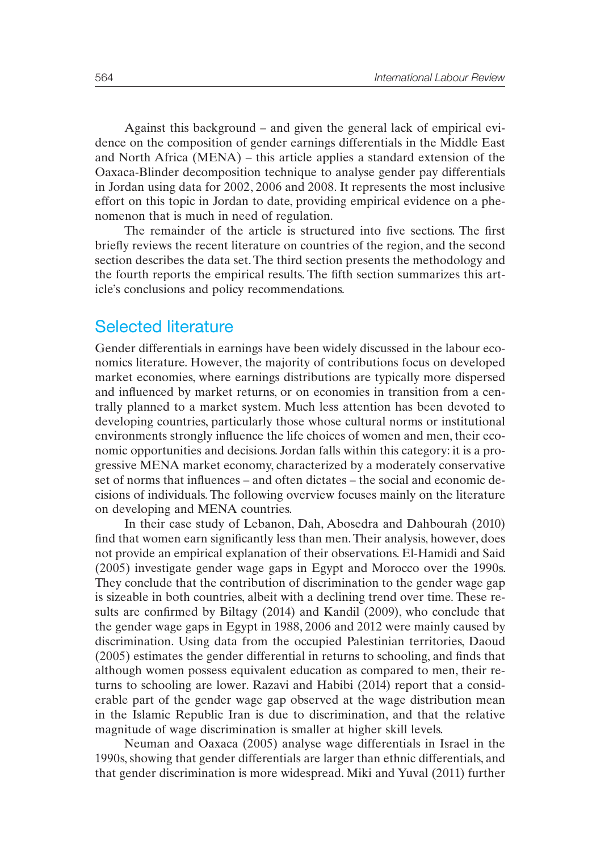Against this background – and given the general lack of empirical evidence on the composition of gender earnings differentials in the Middle East and North Africa (MENA) – this article applies a standard extension of the Oaxaca-Blinder decomposition technique to analyse gender pay differentials in Jordan using data for 2002, 2006 and 2008. It represents the most inclusive effort on this topic in Jordan to date, providing empirical evidence on a phenomenon that is much in need of regulation.

The remainder of the article is structured into five sections. The first briefly reviews the recent literature on countries of the region, and the second section describes the data set. The third section presents the methodology and the fourth reports the empirical results. The fifth section summarizes this article's conclusions and policy recommendations.

# Selected literature

Gender differentials in earnings have been widely discussed in the labour economics literature. However, the majority of contributions focus on developed market economies, where earnings distributions are typically more dispersed and influenced by market returns, or on economies in transition from a centrally planned to a market system. Much less attention has been devoted to developing countries, particularly those whose cultural norms or institutional environments strongly influence the life choices of women and men, their economic opportunities and decisions. Jordan falls within this category: it is a progressive MENA market economy, characterized by a moderately conservative set of norms that influences – and often dictates – the social and economic decisions of individuals. The following overview focuses mainly on the literature on developing and MENA countries.

In their case study of Lebanon, Dah, Abosedra and Dahbourah (2010) find that women earn significantly less than men. Their analysis, however, does not provide an empirical explanation of their observations. El-Hamidi and Said (2005) investigate gender wage gaps in Egypt and Morocco over the 1990s. They conclude that the contribution of discrimination to the gender wage gap is sizeable in both countries, albeit with a declining trend over time. These results are confirmed by Biltagy (2014) and Kandil (2009), who conclude that the gender wage gaps in Egypt in 1988, 2006 and 2012 were mainly caused by discrimination. Using data from the occupied Palestinian territories, Daoud (2005) estimates the gender differential in returns to schooling, and finds that although women possess equivalent education as compared to men, their returns to schooling are lower. Razavi and Habibi (2014) report that a considerable part of the gender wage gap observed at the wage distribution mean in the Islamic Republic Iran is due to discrimination, and that the relative magnitude of wage discrimination is smaller at higher skill levels.

Neuman and Oaxaca (2005) analyse wage differentials in Israel in the 1990s, showing that gender differentials are larger than ethnic differentials, and that gender discrimination is more widespread. Miki and Yuval (2011) further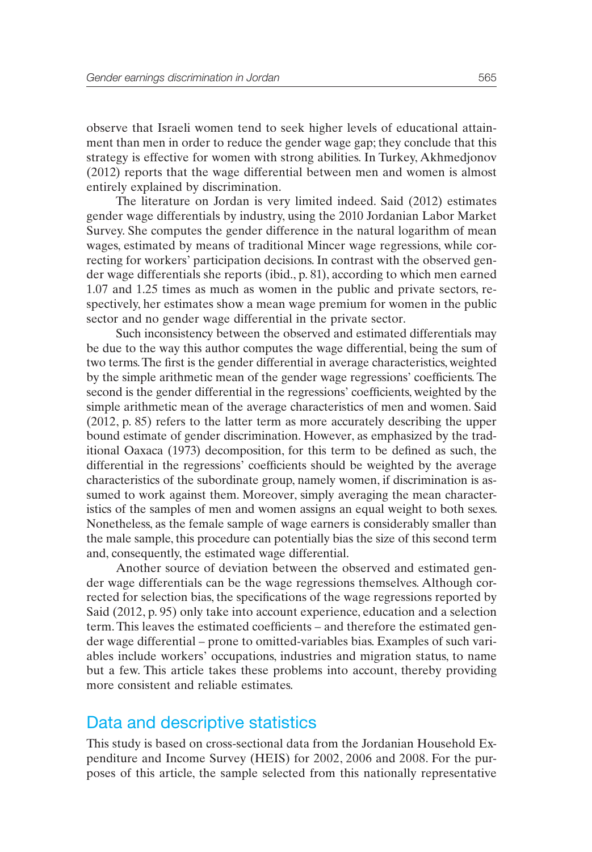observe that Israeli women tend to seek higher levels of educational attainment than men in order to reduce the gender wage gap; they conclude that this strategy is effective for women with strong abilities. In Turkey, Akhmedjonov (2012) reports that the wage differential between men and women is almost entirely explained by discrimination.

The literature on Jordan is very limited indeed. Said (2012) estimates gender wage differentials by industry, using the 2010 Jordanian Labor Market Survey. She computes the gender difference in the natural logarithm of mean wages, estimated by means of traditional Mincer wage regressions, while correcting for workers' participation decisions. In contrast with the observed gender wage differentials she reports (ibid., p. 81), according to which men earned 1.07 and 1.25 times as much as women in the public and private sectors, respectively, her estimates show a mean wage premium for women in the public sector and no gender wage differential in the private sector.

Such inconsistency between the observed and estimated differentials may be due to the way this author computes the wage differential, being the sum of two terms. The first is the gender differential in average characteristics, weighted by the simple arithmetic mean of the gender wage regressions' coefficients. The second is the gender differential in the regressions' coefficients, weighted by the simple arithmetic mean of the average characteristics of men and women. Said (2012, p. 85) refers to the latter term as more accurately describing the upper bound estimate of gender discrimination. However, as emphasized by the traditional Oaxaca (1973) decomposition, for this term to be defined as such, the differential in the regressions' coefficients should be weighted by the average characteristics of the subordinate group, namely women, if discrimination is assumed to work against them. Moreover, simply averaging the mean characteristics of the samples of men and women assigns an equal weight to both sexes. Nonetheless, as the female sample of wage earners is considerably smaller than the male sample, this procedure can potentially bias the size of this second term and, consequently, the estimated wage differential.

Another source of deviation between the observed and estimated gender wage differentials can be the wage regressions themselves. Although corrected for selection bias, the specifications of the wage regressions reported by Said (2012, p. 95) only take into account experience, education and a selection term. This leaves the estimated coefficients – and therefore the estimated gender wage differential – prone to omitted-variables bias. Examples of such variables include workers' occupations, industries and migration status, to name but a few. This article takes these problems into account, thereby providing more consistent and reliable estimates.

# Data and descriptive statistics

This study is based on cross-sectional data from the Jordanian Household Expenditure and Income Survey (HEIS) for 2002, 2006 and 2008. For the purposes of this article, the sample selected from this nationally representative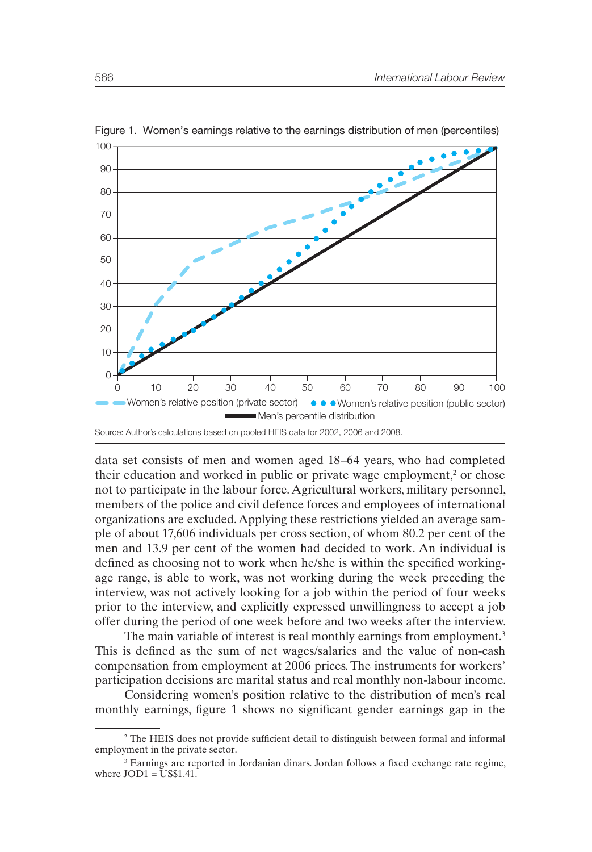

Figure 1. Women's earnings relative to the earnings distribution of men (percentiles)

data set consists of men and women aged 18–64 years, who had completed their education and worked in public or private wage employment, $2$  or chose not to participate in the labour force. Agricultural workers, military personnel, members of the police and civil defence forces and employees of international organizations are excluded. Applying these restrictions yielded an average sample of about 17,606 individuals per cross section, of whom 80.2 per cent of the men and 13.9 per cent of the women had decided to work. An individual is defined as choosing not to work when he/she is within the specified workingage range, is able to work, was not working during the week preceding the interview, was not actively looking for a job within the period of four weeks prior to the interview, and explicitly expressed unwillingness to accept a job offer during the period of one week before and two weeks after the interview.

The main variable of interest is real monthly earnings from employment.<sup>3</sup> This is defined as the sum of net wages/salaries and the value of non-cash compensation from employment at 2006 prices. The instruments for workers' participation decisions are marital status and real monthly non-labour income.

Considering women's position relative to the distribution of men's real monthly earnings, figure 1 shows no significant gender earnings gap in the

<sup>&</sup>lt;sup>2</sup> The HEIS does not provide sufficient detail to distinguish between formal and informal employment in the private sector.

<sup>3</sup> Earnings are reported in Jordanian dinars. Jordan follows a fixed exchange rate regime, where  $JOD1 = US$1.41$ .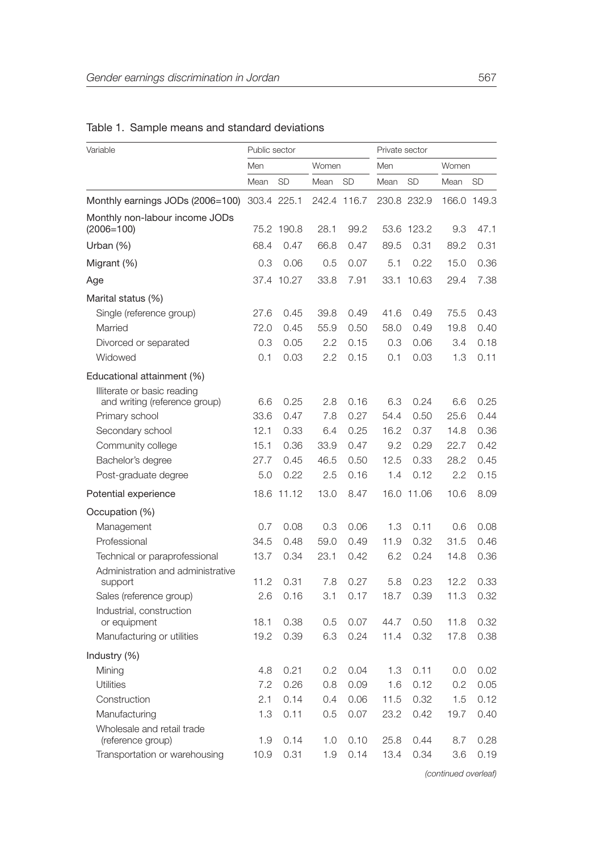| Variable                                        | Public sector |             |            | Private sector |       |             |      |              |
|-------------------------------------------------|---------------|-------------|------------|----------------|-------|-------------|------|--------------|
|                                                 | Women<br>Men  |             | Men        |                | Women |             |      |              |
|                                                 | Mean          | <b>SD</b>   | Mean       | <b>SD</b>      | Mean  | <b>SD</b>   | Mean | SD           |
| Monthly earnings JODs (2006=100)                |               | 303.4 225.1 | 242.4      | 116.7          |       | 230.8 232.9 |      | 166.0 149.3  |
| Monthly non-labour income JODs<br>$(2006=100)$  | 75.2          | 190.8       | 28.1       | 99.2           |       | 53.6 123.2  | 9.3  | 47.1         |
| Urban (%)                                       | 68.4          | 0.47        | 66.8       | 0.47           | 89.5  | 0.31        | 89.2 | 0.31         |
| Migrant (%)                                     | 0.3           | 0.06        | 0.5        | 0.07           | 5.1   | 0.22        | 15.0 | 0.36         |
| Age                                             |               | 37.4 10.27  | 33.8       | 7.91           | 33.1  | 10.63       | 29.4 | 7.38         |
| Marital status (%)                              |               |             |            |                |       |             |      |              |
| Single (reference group)                        | 27.6          | 0.45        | 39.8       | 0.49           | 41.6  | 0.49        | 75.5 | 0.43         |
| Married                                         | 72.0          | 0.45        | 55.9       | 0.50           | 58.0  | 0.49        | 19.8 | 0.40         |
| Divorced or separated                           | 0.3           | 0.05        | 2.2        | 0.15           | 0.3   | 0.06        | 3.4  | 0.18         |
| Widowed                                         | 0.1           | 0.03        | 2.2        | 0.15           | 0.1   | 0.03        | 1.3  | 0.11         |
| Educational attainment (%)                      |               |             |            |                |       |             |      |              |
| Illiterate or basic reading                     |               |             |            |                |       |             |      |              |
| and writing (reference group)                   | 6.6           | 0.25        | 2.8        | 0.16           | 6.3   | 0.24        | 6.6  | 0.25         |
| Primary school                                  | 33.6          | 0.47        | 7.8        | 0.27           | 54.4  | 0.50        | 25.6 | 0.44         |
| Secondary school                                | 12.1          | 0.33        | 6.4        | 0.25           | 16.2  | 0.37        | 14.8 | 0.36         |
| Community college                               | 15.1          | 0.36        | 33.9       | 0.47           | 9.2   | 0.29        | 22.7 | 0.42         |
| Bachelor's degree                               | 27.7          | 0.45        | 46.5       | 0.50           | 12.5  | 0.33        | 28.2 | 0.45         |
| Post-graduate degree                            | 5.0           | 0.22        | 2.5        | 0.16           | 1.4   | 0.12        | 2.2  | 0.15         |
| Potential experience                            |               | 18.6 11.12  | 13.0       | 8.47           |       | 16.0 11.06  | 10.6 | 8.09         |
| Occupation (%)                                  |               |             |            |                |       |             |      |              |
| Management                                      | 0.7           | 0.08        | 0.3        | 0.06           | 1.3   | 0.11        | 0.6  | 0.08         |
| Professional                                    | 34.5          | 0.48        | 59.0       | 0.49           | 11.9  | 0.32        | 31.5 | 0.46         |
| Technical or paraprofessional                   | 13.7          | 0.34        | 23.1       | 0.42           | 6.2   | 0.24        | 14.8 | 0.36         |
| Administration and administrative               | 11.2          | 0.31        |            | 0.27           | 5.8   | 0.23        | 12.2 |              |
| support<br>Sales (reference group)              | 2.6           | 0.16        | 7.8<br>3.1 | 0.17           | 18.7  | 0.39        | 11.3 | 0.33<br>0.32 |
| Industrial, construction                        |               |             |            |                |       |             |      |              |
| or equipment                                    | 18.1          | 0.38        | 0.5        | 0.07           | 44.7  | 0.50        | 11.8 | 0.32         |
| Manufacturing or utilities                      | 19.2          | 0.39        | 6.3        | 0.24           | 11.4  | 0.32        | 17.8 | 0.38         |
| Industry (%)                                    |               |             |            |                |       |             |      |              |
| Mining                                          | 4.8           | 0.21        | 0.2        | 0.04           | 1.3   | 0.11        | 0.0  | 0.02         |
| <b>Utilities</b>                                | 7.2           | 0.26        | 0.8        | 0.09           | 1.6   | 0.12        | 0.2  | 0.05         |
| Construction                                    | 2.1           | 0.14        | 0.4        | 0.06           | 11.5  | 0.32        | 1.5  | 0.12         |
| Manufacturing                                   | 1.3           | 0.11        | 0.5        | 0.07           | 23.2  | 0.42        | 19.7 | 0.40         |
| Wholesale and retail trade<br>(reference group) | 1.9           | 0.14        | 1.0        | 0.10           | 25.8  | 0.44        | 8.7  | 0.28         |
| Transportation or warehousing                   | 10.9          | 0.31        | 1.9        | 0.14           | 13.4  | 0.34        | 3.6  | 0.19         |

## Table 1. Sample means and standard deviations

*(continued overleaf)*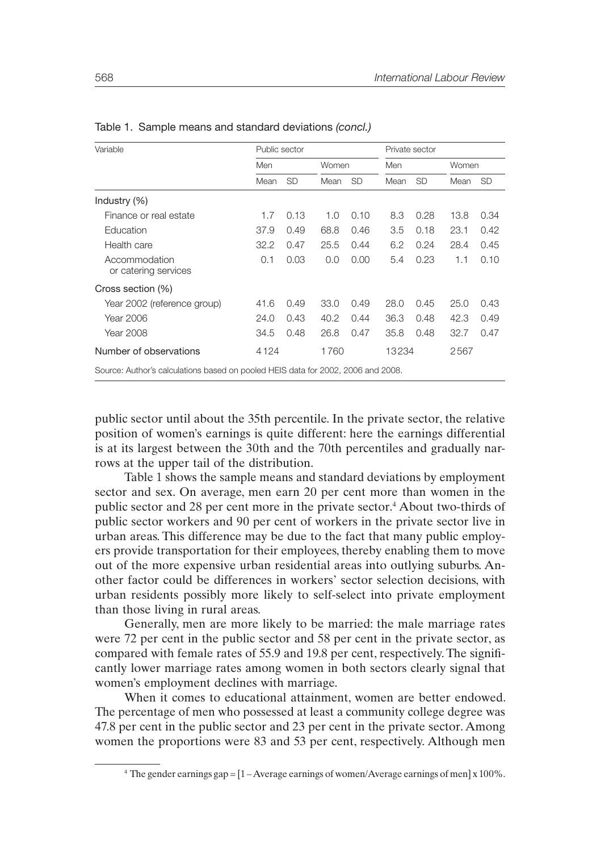| Variable                                                                         | Public sector |           |      |           | Private sector |           |      |           |  |
|----------------------------------------------------------------------------------|---------------|-----------|------|-----------|----------------|-----------|------|-----------|--|
|                                                                                  |               |           |      | Women     |                | Men       |      | Women     |  |
|                                                                                  | Mean          | <b>SD</b> | Mean | <b>SD</b> | Mean           | <b>SD</b> | Mean | <b>SD</b> |  |
| Industry (%)                                                                     |               |           |      |           |                |           |      |           |  |
| Finance or real estate                                                           | 1.7           | 0.13      | 1.0  | 0.10      | 8.3            | 0.28      | 13.8 | 0.34      |  |
| Education                                                                        | 37.9          | 0.49      | 68.8 | 0.46      | 3.5            | 0.18      | 23.1 | 0.42      |  |
| Health care                                                                      | 32.2          | 0.47      | 25.5 | 0.44      | 6.2            | 0.24      | 28.4 | 0.45      |  |
| Accommodation<br>or catering services                                            | 0.1           | 0.03      | 0.0  | 0.00      | 5.4            | 0.23      | 1.1  | 0.10      |  |
| Cross section (%)                                                                |               |           |      |           |                |           |      |           |  |
| Year 2002 (reference group)                                                      | 41.6          | 0.49      | 33.0 | 0.49      | 28.0           | 0.45      | 25.0 | 0.43      |  |
| Year 2006                                                                        | 24.0          | 0.43      | 40.2 | 0.44      | 36.3           | 0.48      | 42.3 | 0.49      |  |
| Year 2008                                                                        | 34.5          | 0.48      | 26.8 | 0.47      | 35.8           | 0.48      | 32.7 | 0.47      |  |
| Number of observations                                                           | 4124          |           | 1760 |           | 13234          |           | 2567 |           |  |
| Source: Author's calculations based on pooled HEIS data for 2002, 2006 and 2008. |               |           |      |           |                |           |      |           |  |

Table 1. Sample means and standard deviations *(concl.)*

public sector until about the 35th percentile. In the private sector, the relative position of women's earnings is quite different: here the earnings differential is at its largest between the 30th and the 70th percentiles and gradually narrows at the upper tail of the distribution.

Table 1 shows the sample means and standard deviations by employment sector and sex. On average, men earn 20 per cent more than women in the public sector and 28 per cent more in the private sector.<sup>4</sup> About two-thirds of public sector workers and 90 per cent of workers in the private sector live in urban areas. This difference may be due to the fact that many public employers provide transportation for their employees, thereby enabling them to move out of the more expensive urban residential areas into outlying suburbs. Another factor could be differences in workers' sector selection decisions, with urban residents possibly more likely to self-select into private employment than those living in rural areas.

Generally, men are more likely to be married: the male marriage rates were 72 per cent in the public sector and 58 per cent in the private sector, as compared with female rates of 55.9 and 19.8 per cent, respectively. The significantly lower marriage rates among women in both sectors clearly signal that women's employment declines with marriage.

When it comes to educational attainment, women are better endowed. The percentage of men who possessed at least a community college degree was 47.8 per cent in the public sector and 23 per cent in the private sector. Among women the proportions were 83 and 53 per cent, respectively. Although men

<sup>&</sup>lt;sup>4</sup> The gender earnings gap  $=[1 - Average\ earnings\ of\ women/Average\ earnings\ of\ men] x 100%.$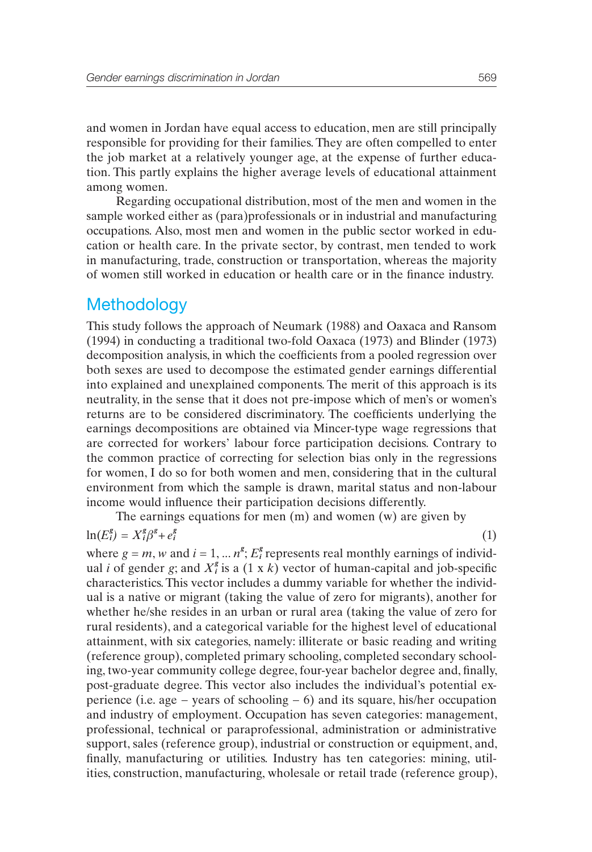and women in Jordan have equal access to education, men are still principally responsible for providing for their families. They are often compelled to enter the job market at a relatively younger age, at the expense of further education. This partly explains the higher average levels of educational attainment among women.

Regarding occupational distribution, most of the men and women in the sample worked either as (para)professionals or in industrial and manufacturing occupations. Also, most men and women in the public sector worked in education or health care. In the private sector, by contrast, men tended to work in manufacturing, trade, construction or transportation, whereas the majority of women still worked in education or health care or in the finance industry.

# **Methodology**

This study follows the approach of Neumark (1988) and Oaxaca and Ransom (1994) in conducting a traditional two-fold Oaxaca (1973) and Blinder (1973) decomposition analysis, in which the coefficients from a pooled regression over both sexes are used to decompose the estimated gender earnings differential into explained and unexplained components. The merit of this approach is its neutrality, in the sense that it does not pre-impose which of men's or women's returns are to be considered discriminatory. The coefficients underlying the earnings decompositions are obtained via Mincer-type wage regressions that are corrected for workers' labour force participation decisions. Contrary to the common practice of correcting for selection bias only in the regressions for women, I do so for both women and men, considering that in the cultural environment from which the sample is drawn, marital status and non-labour income would influence their participation decisions differently.

The earnings equations for men (m) and women (w) are given by

 $\ln(E_i^g) = X_i^g \beta^g + e_i^g$ 

 $\frac{g}{i}$  (1)

where  $g = m$ , *w* and  $i = 1, ..., n^g$ ;  $E_i^g$  represents real monthly earnings of individual *i* of gender *g*; and  $X_i^g$  is a (1 x *k*) vector of human-capital and job-specific characteristics. This vector includes a dummy variable for whether the individual is a native or migrant (taking the value of zero for migrants), another for whether he/she resides in an urban or rural area (taking the value of zero for rural residents), and a categorical variable for the highest level of educational attainment, with six categories, namely: illiterate or basic reading and writing (reference group), completed primary schooling, completed secondary schooling, two-year community college degree, four-year bachelor degree and, finally, post-graduate degree. This vector also includes the individual's potential experience (i.e. age − years of schooling − 6) and its square, his/her occupation and industry of employment. Occupation has seven categories: management, professional, technical or paraprofessional, administration or administrative support, sales (reference group), industrial or construction or equipment, and, finally, manufacturing or utilities. Industry has ten categories: mining, utilities, construction, manufacturing, wholesale or retail trade (reference group),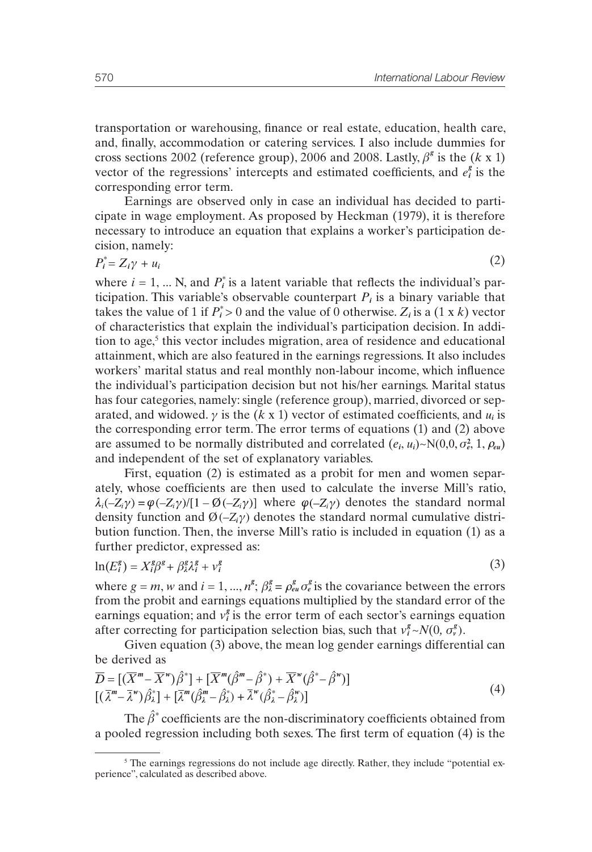transportation or warehousing, finance or real estate, education, health care, and, finally, accommodation or catering services. I also include dummies for cross sections 2002 (reference group), 2006 and 2008. Lastly,  $\beta^g$  is the  $(k \times 1)$ vector of the regressions' intercepts and estimated coefficients, and  $e_i^g$  is the corresponding error term.

Earnings are observed only in case an individual has decided to participate in wage employment. As proposed by Heckman (1979), it is therefore necessary to introduce an equation that explains a worker's participation decision, namely:

$$
P_i^* = Z_i \gamma + u_i \tag{2}
$$

where  $i = 1, \dots N$ , and  $P_i^*$  is a latent variable that reflects the individual's participation. This variable's observable counterpart  $P_i$  is a binary variable that takes the value of 1 if  $P_i^* > 0$  and the value of 0 otherwise.  $Z_i$  is a (1 x k) vector of characteristics that explain the individual's participation decision. In addition to age,<sup>5</sup> this vector includes migration, area of residence and educational attainment, which are also featured in the earnings regressions. It also includes workers' marital status and real monthly non-labour income, which influence the individual's participation decision but not his/her earnings. Marital status has four categories, namely: single (reference group), married, divorced or separated, and widowed.  $\gamma$  is the ( $k \times 1$ ) vector of estimated coefficients, and  $u_i$  is the corresponding error term. The error terms of equations (1) and (2) above are assumed to be normally distributed and correlated  $(e_i, u_i) \sim N(0, 0, \sigma_e^2, 1, \rho_{eu})$ and independent of the set of explanatory variables.

First, equation (2) is estimated as a probit for men and women separately, whose coefficients are then used to calculate the inverse Mill's ratio,  $\lambda_i(-Z_i\gamma) = \varphi(-Z_i\gamma)/[1 - \varphi(-Z_i\gamma)]$  where  $\varphi(-Z_i\gamma)$  denotes the standard normal density function and  $\mathcal{O}(-Z_i\gamma)$  denotes the standard normal cumulative distribution function. Then, the inverse Mill's ratio is included in equation (1) as a further predictor, expressed as:

$$
\ln(E_i^g) = X_i^g \beta^g + \beta_i^g \lambda_i^g + v_i^g \tag{3}
$$

where  $g = m$ , *w* and  $i = 1, ..., n^g$ ;  $\beta^g_i = \rho^g_{eu} \sigma^g_e$  is the covariance between the errors from the probit and earnings equations multiplied by the standard error of the earnings equation; and  $v_i^g$  is the error term of each sector's earnings equation after correcting for participation selection bias, such that  $v_i^g \sim N(0, \sigma_i^g)$ .

Given equation (3) above, the mean log gender earnings differential can be derived as

$$
\overline{D} = [(\overline{X}^m - \overline{X}^w)\hat{\beta}^*] + [\overline{X}^m(\hat{\beta}^m - \hat{\beta}^*) + \overline{X}^w(\hat{\beta}^* - \hat{\beta}^*)]
$$
  

$$
[(\overline{\lambda}^m - \overline{\lambda}^w)\hat{\beta}^*_{\lambda}] + [\overline{\lambda}^m(\hat{\beta}^m_{\lambda} - \hat{\beta}^*_{\lambda}) + \overline{\lambda}^w(\hat{\beta}^*_{\lambda} - \hat{\beta}^*_{\lambda})]
$$
\n(4)

The  $\hat{\beta}^*$  coefficients are the non-discriminatory coefficients obtained from a pooled regression including both sexes. The first term of equation (4) is the

<sup>&</sup>lt;sup>5</sup> The earnings regressions do not include age directly. Rather, they include "potential experience", calculated as described above.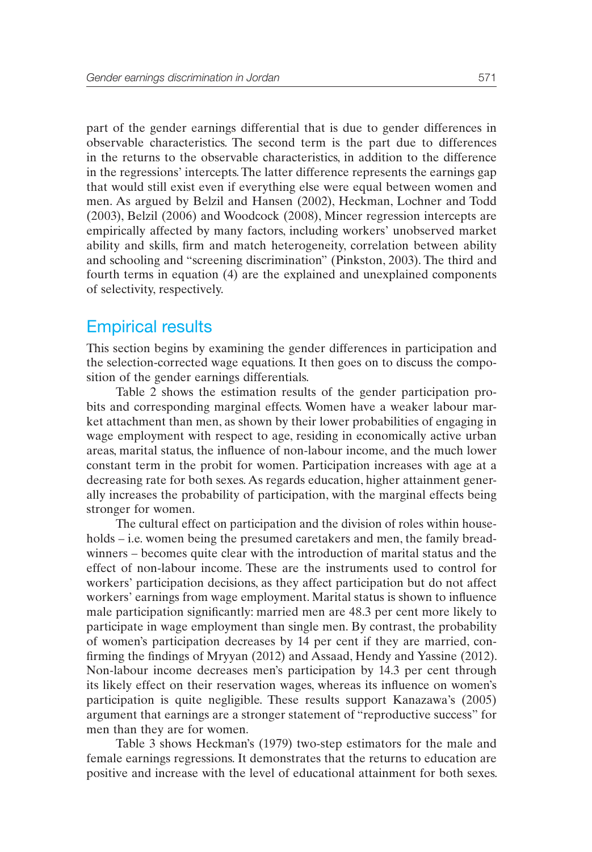part of the gender earnings differential that is due to gender differences in observable characteristics. The second term is the part due to differences in the returns to the observable characteristics, in addition to the difference in the regressions' intercepts. The latter difference represents the earnings gap that would still exist even if everything else were equal between women and men. As argued by Belzil and Hansen (2002), Heckman, Lochner and Todd (2003), Belzil (2006) and Woodcock (2008), Mincer regression intercepts are empirically affected by many factors, including workers' unobserved market ability and skills, firm and match heterogeneity, correlation between ability and schooling and "screening discrimination" (Pinkston, 2003). The third and fourth terms in equation (4) are the explained and unexplained components of selectivity, respectively.

## Empirical results

This section begins by examining the gender differences in participation and the selection-corrected wage equations. It then goes on to discuss the composition of the gender earnings differentials.

Table 2 shows the estimation results of the gender participation probits and corresponding marginal effects. Women have a weaker labour market attachment than men, as shown by their lower probabilities of engaging in wage employment with respect to age, residing in economically active urban areas, marital status, the influence of non-labour income, and the much lower constant term in the probit for women. Participation increases with age at a decreasing rate for both sexes. As regards education, higher attainment generally increases the probability of participation, with the marginal effects being stronger for women.

The cultural effect on participation and the division of roles within households – i.e. women being the presumed caretakers and men, the family breadwinners – becomes quite clear with the introduction of marital status and the effect of non-labour income. These are the instruments used to control for workers' participation decisions, as they affect participation but do not affect workers' earnings from wage employment. Marital status is shown to influence male participation significantly: married men are 48.3 per cent more likely to participate in wage employment than single men. By contrast, the probability of women's participation decreases by 14 per cent if they are married, confirming the findings of Mryyan (2012) and Assaad, Hendy and Yassine (2012). Non-labour income decreases men's participation by 14.3 per cent through its likely effect on their reservation wages, whereas its influence on women's participation is quite negligible. These results support Kanazawa's (2005) argument that earnings are a stronger statement of "reproductive success" for men than they are for women.

Table 3 shows Heckman's (1979) two-step estimators for the male and female earnings regressions. It demonstrates that the returns to education are positive and increase with the level of educational attainment for both sexes.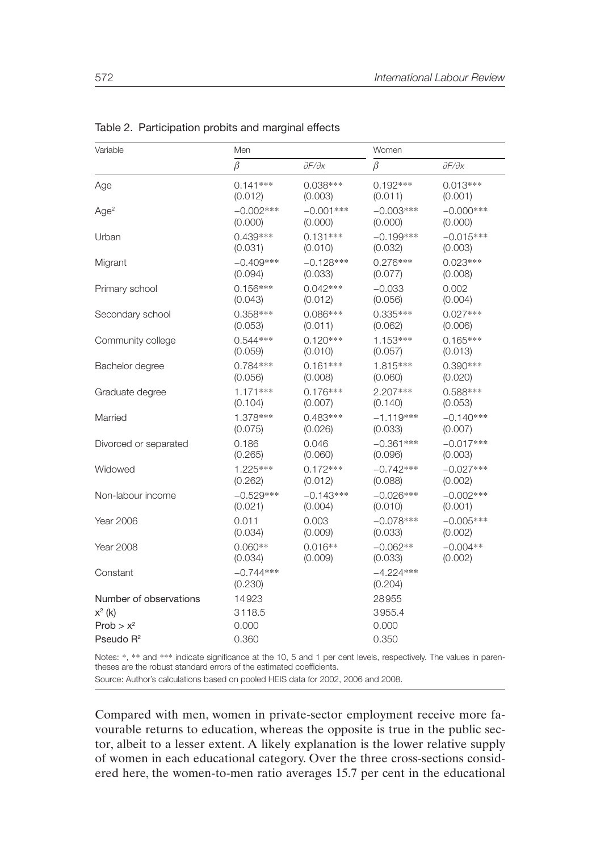| Variable               | Men                    |                         | Women                  |                         |  |  |
|------------------------|------------------------|-------------------------|------------------------|-------------------------|--|--|
|                        | $\beta$                | $\partial F/\partial x$ | $\beta$                | $\partial F/\partial x$ |  |  |
| Age                    | $0.141***$             | 0.038***                | $0.192***$             | $0.013***$              |  |  |
|                        | (0.012)                | (0.003)                 | (0.011)                | (0.001)                 |  |  |
| Age <sup>2</sup>       | $-0.002***$            | $-0.001***$             | $-0.003***$            | $-0.000***$             |  |  |
|                        | (0.000)                | (0.000)                 | (0.000)                | (0.000)                 |  |  |
| Urban                  | 0.439***               | $0.131***$              | $-0.199***$            | $-0.015***$             |  |  |
|                        | (0.031)                | (0.010)                 | (0.032)                | (0.003)                 |  |  |
| Migrant                | $-0.409***$            | $-0.128***$             | 0.276***               | $0.023***$              |  |  |
|                        | (0.094)                | (0.033)                 | (0.077)                | (0.008)                 |  |  |
| Primary school         | $0.156***$             | $0.042***$              | $-0.033$               | 0.002                   |  |  |
|                        | (0.043)                | (0.012)                 | (0.056)                | (0.004)                 |  |  |
| Secondary school       | 0.358***               | $0.086***$              | $0.335***$             | $0.027***$              |  |  |
|                        | (0.053)                | (0.011)                 | (0.062)                | (0.006)                 |  |  |
| Community college      | $0.544***$             | $0.120***$              | $1.153***$             | $0.165***$              |  |  |
|                        | (0.059)                | (0.010)                 | (0.057)                | (0.013)                 |  |  |
| Bachelor degree        | 0.784***               | $0.161***$              | 1.815***               | $0.390***$              |  |  |
|                        | (0.056)                | (0.008)                 | (0.060)                | (0.020)                 |  |  |
| Graduate degree        | 1.171***               | $0.176***$              | 2.207***               | 0.588***                |  |  |
|                        | (0.104)                | (0.007)                 | (0.140)                | (0.053)                 |  |  |
| Married                | 1.378 ***              | 0.483***                | $-1.119***$            | $-0.140***$             |  |  |
|                        | (0.075)                | (0.026)                 | (0.033)                | (0.007)                 |  |  |
| Divorced or separated  | 0.186                  | 0.046                   | $-0.361***$            | $-0.017***$             |  |  |
|                        | (0.265)                | (0.060)                 | (0.096)                | (0.003)                 |  |  |
| Widowed                | 1.225***               | $0.172***$              | $-0.742***$            | $-0.027***$             |  |  |
|                        | (0.262)                | (0.012)                 | (0.088)                | (0.002)                 |  |  |
| Non-labour income      | $-0.529***$            | $-0.143***$             | $-0.026***$            | $-0.002***$             |  |  |
|                        | (0.021)                | (0.004)                 | (0.010)                | (0.001)                 |  |  |
| <b>Year 2006</b>       | 0.011                  | 0.003                   | $-0.078***$            | $-0.005***$             |  |  |
|                        | (0.034)                | (0.009)                 | (0.033)                | (0.002)                 |  |  |
| Year 2008              | $0.060**$              | $0.016**$               | $-0.062**$             | $-0.004**$              |  |  |
|                        | (0.034)                | (0.009)                 | (0.033)                | (0.002)                 |  |  |
| Constant               | $-0.744***$<br>(0.230) |                         | $-4.224***$<br>(0.204) |                         |  |  |
| Number of observations | 14923                  |                         | 28955                  |                         |  |  |
| $x^2$ (k)              | 3118.5                 |                         | 3955.4                 |                         |  |  |
| Prob $> x^2$           | 0.000                  |                         | 0.000                  |                         |  |  |
| Pseudo R <sup>2</sup>  | 0.360                  |                         | 0.350                  |                         |  |  |

Table 2. Participation probits and marginal effects

Notes: \*, \*\* and \*\*\* indicate significance at the 10, 5 and 1 per cent levels, respectively. The values in parentheses are the robust standard errors of the estimated coefficients.

Source: Author's calculations based on pooled HEIS data for 2002, 2006 and 2008.

Compared with men, women in private-sector employment receive more favourable returns to education, whereas the opposite is true in the public sector, albeit to a lesser extent. A likely explanation is the lower relative supply of women in each educational category. Over the three cross-sections considered here, the women-to-men ratio averages 15.7 per cent in the educational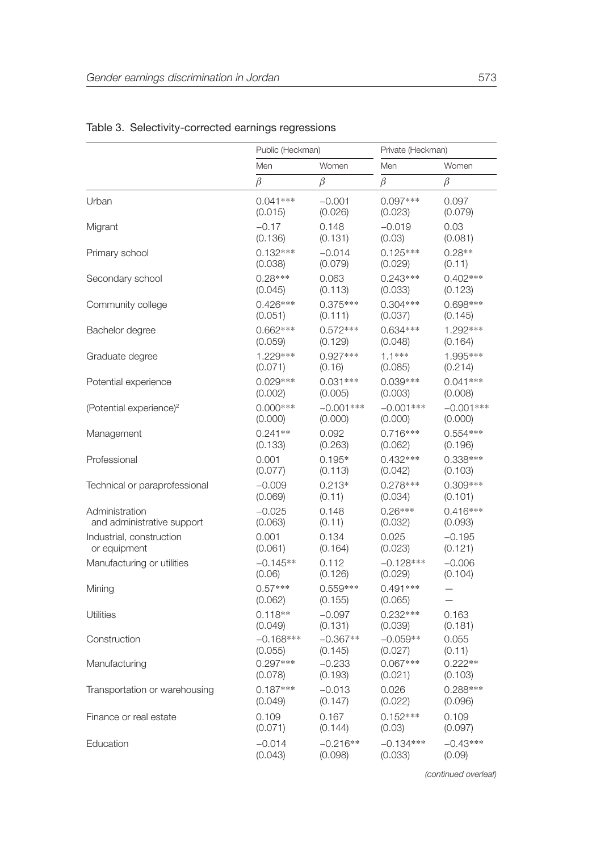|                                     | Public (Heckman)     |                     | Private (Heckman)     |             |
|-------------------------------------|----------------------|---------------------|-----------------------|-------------|
|                                     | Men                  | Women               | Men                   | Women       |
|                                     | β                    | β                   | β                     | β           |
| Urban                               | $0.041***$           | $-0.001$            | 0.097***              | 0.097       |
|                                     | (0.015)              | (0.026)             | (0.023)               | (0.079)     |
| Migrant                             | $-0.17$              | 0.148               | $-0.019$              | 0.03        |
|                                     | (0.136)              | (0.131)             | (0.03)                | (0.081)     |
| Primary school                      | $0.132***$           | $-0.014$            | $0.125***$            | $0.28**$    |
|                                     | (0.038)              | (0.079)             | (0.029)               | (0.11)      |
| Secondary school                    | 0.28 ***             | 0.063               | $0.243***$            | 0.402***    |
|                                     | (0.045)              | (0.113)             | (0.033)               | (0.123)     |
| Community college                   | 0.426***             | 0.375***            | 0.304 ***             | 0.698***    |
|                                     | (0.051)              | (0.111)             | (0.037)               | (0.145)     |
| Bachelor degree                     | 0.662 ***            | $0.572***$          | 0.634 ***             | 1.292 ***   |
|                                     | (0.059)              | (0.129)             | (0.048)               | (0.164)     |
| Graduate degree                     | 1.229 ***            | 0.927 ***           | $1.1***$              | 1.995***    |
|                                     | (0.071)              | (0.16)              | (0.085)               | (0.214)     |
| Potential experience                | 0.029 ***            | 0.031 ***           | 0.039 ***             | $0.041***$  |
|                                     | (0.002)              | (0.005)             | (0.003)               | (0.008)     |
| (Potential experience) <sup>2</sup> | 0.000***             | $-0.001***$         | $-0.001***$           | $-0.001***$ |
|                                     | (0.000)              | (0.000)             | (0.000)               | (0.000)     |
| Management                          | $0.241**$            | 0.092               | $0.716***$            | 0.554 ***   |
|                                     | (0.133)              | (0.263)             | (0.062)               | (0.196)     |
| Professional                        | 0.001                | $0.195*$            | 0.432 ***             | 0.338***    |
|                                     | (0.077)              | (0.113)             | (0.042)               | (0.103)     |
| Technical or paraprofessional       | $-0.009$             | $0.213*$            | $0.278***$            | $0.309***$  |
|                                     | (0.069)              | (0.11)              | (0.034)               | (0.101)     |
| Administration                      | $-0.025$             | 0.148               | $0.26***$             | 0.416***    |
| and administrative support          | (0.063)              | (0.11)              | (0.032)               | (0.093)     |
| Industrial, construction            | 0.001                | 0.134               | 0.025                 | $-0.195$    |
| or equipment                        | (0.061)              | (0.164)             | (0.023)               | (0.121)     |
| Manufacturing or utilities          | $-0.145**$           | 0.112               | $-0.128***$           | $-0.006$    |
|                                     | (0.06)               | (0.126)             | (0.029)               | (0.104)     |
| Mining                              | $0.57***$<br>(0.062) | 0.559***<br>(0.155) | $0.491***$<br>(0.065) |             |
| Utilities                           | $0.118**$            | $-0.097$            | $0.232***$            | 0.163       |
|                                     | (0.049)              | (0.131)             | (0.039)               | (0.181)     |
| Construction                        | $-0.168***$          | $-0.367**$          | $-0.059**$            | 0.055       |
|                                     | (0.055)              | (0.145)             | (0.027)               | (0.11)      |
| Manufacturing                       | 0.297***             | $-0.233$            | 0.067***              | $0.222**$   |
|                                     | (0.078)              | (0.193)             | (0.021)               | (0.103)     |
| Transportation or warehousing       | $0.187***$           | $-0.013$            | 0.026                 | 0.288***    |
|                                     | (0.049)              | (0.147)             | (0.022)               | (0.096)     |
| Finance or real estate              | 0.109                | 0.167               | $0.152***$            | 0.109       |
|                                     | (0.071)              | (0.144)             | (0.03)                | (0.097)     |
| Education                           | $-0.014$             | $-0.216**$          | $-0.134***$           | $-0.43***$  |
|                                     | (0.043)              | (0.098)             | (0.033)               | (0.09)      |

## Table 3. Selectivity-corrected earnings regressions

*(continued overleaf)*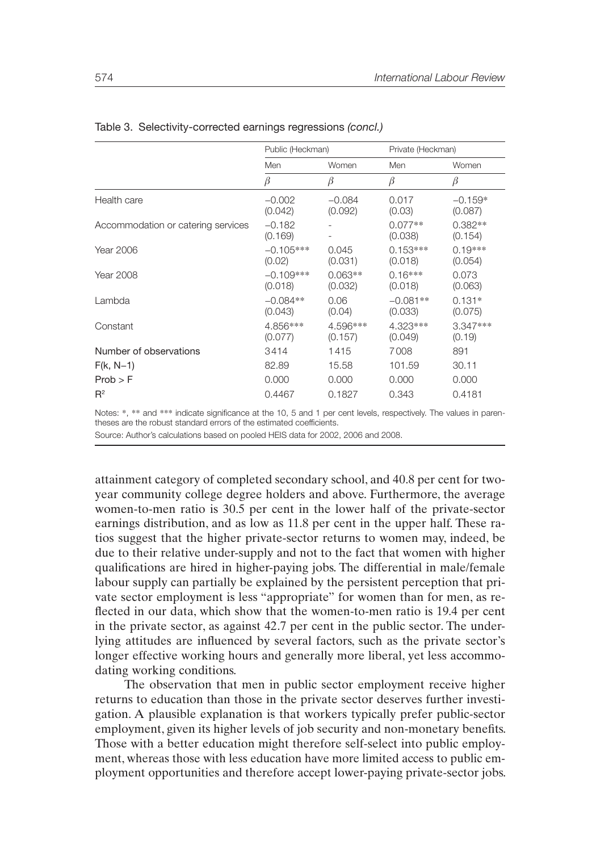|                                    | Public (Heckman)       |                      | Private (Heckman)     |                      |
|------------------------------------|------------------------|----------------------|-----------------------|----------------------|
|                                    | Men                    | Women                | Men                   | Women                |
|                                    | β                      | β                    | β                     | β                    |
| Health care                        | $-0.002$<br>(0.042)    | $-0.084$<br>(0.092)  | 0.017<br>(0.03)       | $-0.159*$<br>(0.087) |
| Accommodation or catering services | $-0.182$<br>(0.169)    |                      | $0.077**$<br>(0.038)  | $0.382**$<br>(0.154) |
| Year 2006                          | $-0.105***$<br>(0.02)  | 0.045<br>(0.031)     | $0.153***$<br>(0.018) | $0.19***$<br>(0.054) |
| Year 2008                          | $-0.109***$<br>(0.018) | $0.063**$<br>(0.032) | $0.16***$<br>(0.018)  | 0.073<br>(0.063)     |
| Lambda                             | $-0.084**$<br>(0.043)  | 0.06<br>(0.04)       | $-0.081**$<br>(0.033) | $0.131*$<br>(0.075)  |
| Constant                           | 4.856***<br>(0.077)    | 4.596***<br>(0.157)  | 4.323***<br>(0.049)   | $3.347***$<br>(0.19) |
| Number of observations             | 3414                   | 1415                 | 7008                  | 891                  |
| $F(k, N-1)$                        | 82.89                  | 15.58                | 101.59                | 30.11                |
| Prob > F                           | 0.000                  | 0.000                | 0.000                 | 0.000                |
| $R^2$                              | 0.4467                 | 0.1827               | 0.343                 | 0.4181               |

|  | Table 3. Selectivity-corrected earnings regressions (concl.) |  |
|--|--------------------------------------------------------------|--|
|  |                                                              |  |

Notes: \*, \*\* and \*\*\* indicate significance at the 10, 5 and 1 per cent levels, respectively. The values in parentheses are the robust standard errors of the estimated coefficients.

Source: Author's calculations based on pooled HEIS data for 2002, 2006 and 2008.

attainment category of completed secondary school, and 40.8 per cent for twoyear community college degree holders and above. Furthermore, the average women-to-men ratio is 30.5 per cent in the lower half of the private-sector earnings distribution, and as low as 11.8 per cent in the upper half. These ratios suggest that the higher private-sector returns to women may, indeed, be due to their relative under-supply and not to the fact that women with higher qualifications are hired in higher-paying jobs. The differential in male/female labour supply can partially be explained by the persistent perception that private sector employment is less "appropriate" for women than for men, as reflected in our data, which show that the women-to-men ratio is 19.4 per cent in the private sector, as against 42.7 per cent in the public sector. The underlying attitudes are influenced by several factors, such as the private sector's longer effective working hours and generally more liberal, yet less accommodating working conditions.

The observation that men in public sector employment receive higher returns to education than those in the private sector deserves further investigation. A plausible explanation is that workers typically prefer public-sector employment, given its higher levels of job security and non-monetary benefits. Those with a better education might therefore self-select into public employment, whereas those with less education have more limited access to public employment opportunities and therefore accept lower-paying private-sector jobs.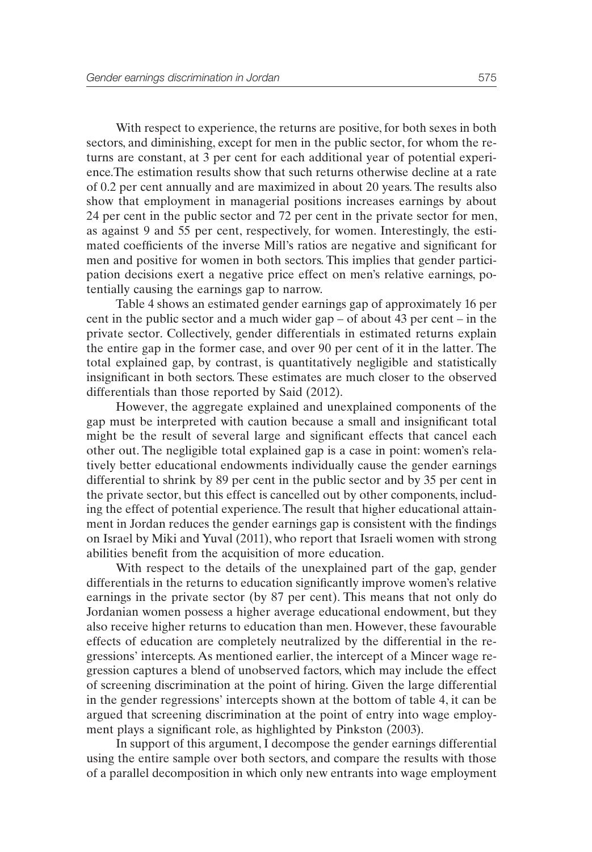With respect to experience, the returns are positive, for both sexes in both sectors, and diminishing, except for men in the public sector, for whom the returns are constant, at 3 per cent for each additional year of potential experience.The estimation results show that such returns otherwise decline at a rate of 0.2 per cent annually and are maximized in about 20 years. The results also show that employment in managerial positions increases earnings by about 24 per cent in the public sector and 72 per cent in the private sector for men, as against 9 and 55 per cent, respectively, for women. Interestingly, the estimated coefficients of the inverse Mill's ratios are negative and significant for men and positive for women in both sectors. This implies that gender participation decisions exert a negative price effect on men's relative earnings, potentially causing the earnings gap to narrow.

Table 4 shows an estimated gender earnings gap of approximately 16 per cent in the public sector and a much wider gap – of about 43 per cent – in the private sector. Collectively, gender differentials in estimated returns explain the entire gap in the former case, and over 90 per cent of it in the latter. The total explained gap, by contrast, is quantitatively negligible and statistically insignificant in both sectors. These estimates are much closer to the observed differentials than those reported by Said (2012).

However, the aggregate explained and unexplained components of the gap must be interpreted with caution because a small and insignificant total might be the result of several large and significant effects that cancel each other out. The negligible total explained gap is a case in point: women's relatively better educational endowments individually cause the gender earnings differential to shrink by 89 per cent in the public sector and by 35 per cent in the private sector, but this effect is cancelled out by other components, including the effect of potential experience. The result that higher educational attainment in Jordan reduces the gender earnings gap is consistent with the findings on Israel by Miki and Yuval (2011), who report that Israeli women with strong abilities benefit from the acquisition of more education.

With respect to the details of the unexplained part of the gap, gender differentials in the returns to education significantly improve women's relative earnings in the private sector (by 87 per cent). This means that not only do Jordanian women possess a higher average educational endowment, but they also receive higher returns to education than men. However, these favourable effects of education are completely neutralized by the differential in the regressions' intercepts. As mentioned earlier, the intercept of a Mincer wage regression captures a blend of unobserved factors, which may include the effect of screening discrimination at the point of hiring. Given the large differential in the gender regressions' intercepts shown at the bottom of table 4, it can be argued that screening discrimination at the point of entry into wage employment plays a significant role, as highlighted by Pinkston (2003).

In support of this argument, I decompose the gender earnings differential using the entire sample over both sectors, and compare the results with those of a parallel decomposition in which only new entrants into wage employment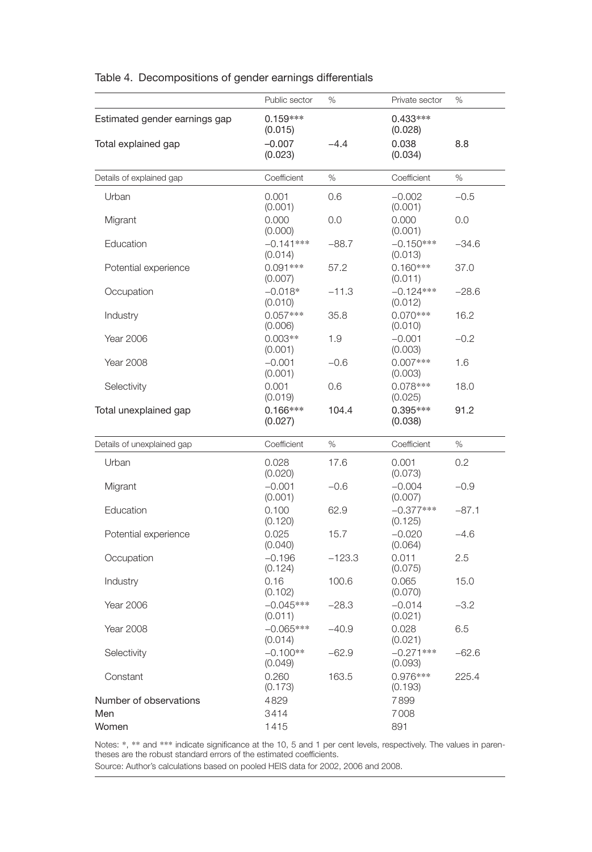|                               | Public sector          | %       | Private sector         | %       |
|-------------------------------|------------------------|---------|------------------------|---------|
| Estimated gender earnings gap | $0.159***$<br>(0.015)  |         | $0.433***$<br>(0.028)  |         |
| Total explained gap           | $-0.007$<br>(0.023)    | $-4.4$  | 0.038<br>(0.034)       | 8.8     |
| Details of explained gap      | Coefficient            | %       | Coefficient            | %       |
| Urban                         | 0.001<br>(0.001)       | 0.6     | $-0.002$<br>(0.001)    | $-0.5$  |
| Migrant                       | 0.000<br>(0.000)       | 0.0     | 0.000<br>(0.001)       | 0.0     |
| Education                     | $-0.141***$<br>(0.014) | $-88.7$ | $-0.150***$<br>(0.013) | $-34.6$ |
| Potential experience          | $0.091***$<br>(0.007)  | 57.2    | $0.160***$<br>(0.011)  | 37.0    |
| Occupation                    | $-0.018*$<br>(0.010)   | $-11.3$ | $-0.124***$<br>(0.012) | $-28.6$ |
| Industry                      | $0.057***$<br>(0.006)  | 35.8    | $0.070***$<br>(0.010)  | 16.2    |
| Year 2006                     | $0.003**$<br>(0.001)   | 1.9     | $-0.001$<br>(0.003)    | $-0.2$  |
| <b>Year 2008</b>              | $-0.001$<br>(0.001)    | $-0.6$  | $0.007***$<br>(0.003)  | 1.6     |
| Selectivity                   | 0.001<br>(0.019)       | 0.6     | 0.078***<br>(0.025)    | 18.0    |
| Total unexplained gap         | $0.166***$<br>(0.027)  | 104.4   | 0.395***<br>(0.038)    | 91.2    |
| Details of unexplained gap    | Coefficient            | %       | Coefficient            | %       |
| Urban                         | 0.028<br>(0.020)       | 17.6    | 0.001<br>(0.073)       | 0.2     |
| Migrant                       | $-0.001$<br>(0.001)    | $-0.6$  | $-0.004$<br>(0.007)    | $-0.9$  |
| Education                     | 0.100<br>(0.120)       | 62.9    | $-0.377***$<br>(0.125) | $-87.1$ |
| Potential experience          | 0.025<br>(0.040)       | 15.7    | $-0.020$<br>(0.064)    | $-4.6$  |
| Occupation                    | $-0.196$<br>(0.124)    | -123.3  | 0.011<br>(0.075)       | 2.5     |
| Industry                      | 0.16<br>(0.102)        | 100.6   | 0.065<br>(0.070)       | 15.0    |
| Year 2006                     | $-0.045***$<br>(0.011) | $-28.3$ | $-0.014$<br>(0.021)    | $-3.2$  |
| Year 2008                     | $-0.065***$<br>(0.014) | $-40.9$ | 0.028<br>(0.021)       | 6.5     |
| Selectivity                   | $-0.100**$<br>(0.049)  | $-62.9$ | $-0.271***$<br>(0.093) | $-62.6$ |
| Constant                      | 0.260<br>(0.173)       | 163.5   | 0.976***<br>(0.193)    | 225.4   |
| Number of observations        | 4829                   |         | 7899                   |         |
| Men                           | 3414                   |         | 7008                   |         |
| Women                         | 1415                   |         | 891                    |         |

#### Table 4. Decompositions of gender earnings differentials

Notes: \*, \*\* and \*\*\* indicate significance at the 10, 5 and 1 per cent levels, respectively. The values in parentheses are the robust standard errors of the estimated coefficients.

Source: Author's calculations based on pooled HEIS data for 2002, 2006 and 2008.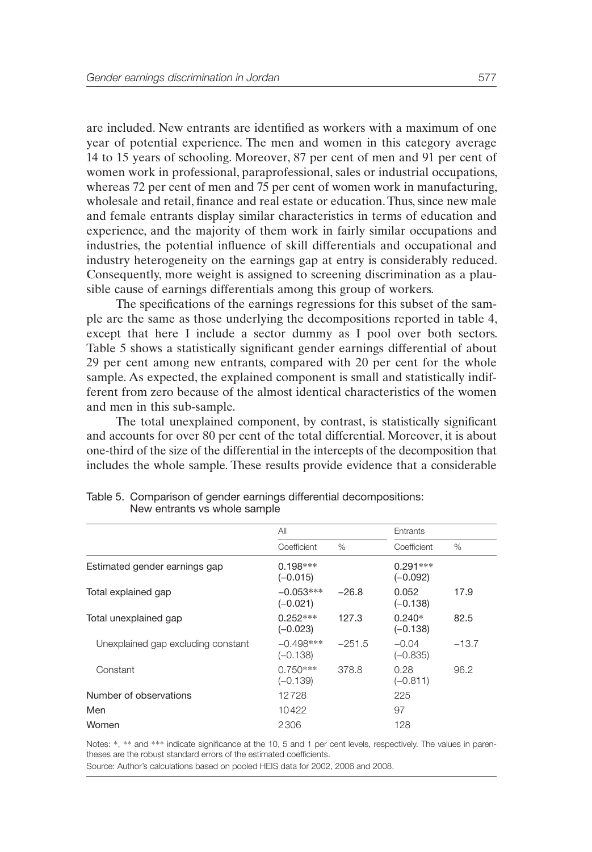are included. New entrants are identified as workers with a maximum of one year of potential experience. The men and women in this category average 14 to 15 years of schooling. Moreover, 87 per cent of men and 91 per cent of women work in professional, paraprofessional, sales or industrial occupations, whereas 72 per cent of men and 75 per cent of women work in manufacturing, wholesale and retail, finance and real estate or education. Thus, since new male and female entrants display similar characteristics in terms of education and experience, and the majority of them work in fairly similar occupations and industries, the potential influence of skill differentials and occupational and industry heterogeneity on the earnings gap at entry is considerably reduced. Consequently, more weight is assigned to screening discrimination as a plausible cause of earnings differentials among this group of workers.

The specifications of the earnings regressions for this subset of the sample are the same as those underlying the decompositions reported in table 4, except that here I include a sector dummy as I pool over both sectors. Table 5 shows a statistically significant gender earnings differential of about 29 per cent among new entrants, compared with 20 per cent for the whole sample. As expected, the explained component is small and statistically indifferent from zero because of the almost identical characteristics of the women and men in this sub-sample.

The total unexplained component, by contrast, is statistically significant and accounts for over 80 per cent of the total differential. Moreover, it is about one-third of the size of the differential in the intercepts of the decomposition that includes the whole sample. These results provide evidence that a considerable

|                                    | All                       |          | Entrants               |         |
|------------------------------------|---------------------------|----------|------------------------|---------|
|                                    | Coefficient               | $\%$     | Coefficient            | $\%$    |
| Estimated gender earnings gap      | $0.198***$<br>$(-0.015)$  |          | $0.291***$<br>(–0.092) |         |
| Total explained gap                | $-0.053***$<br>$(-0.021)$ | $-26.8$  | 0.052<br>(–0.138)      | 17.9    |
| Total unexplained gap              | $0.252***$<br>$(-0.023)$  | 127.3    | $0.240*$<br>(–0.138)   | 82.5    |
| Unexplained gap excluding constant | $-0.498***$<br>$(-0.138)$ | $-251.5$ | $-0.04$<br>(–0.835)    | $-13.7$ |
| Constant                           | $0.750***$<br>$(-0.139)$  | 378.8    | 0.28<br>$(-0.811)$     | 96.2    |
| Number of observations             | 12728                     |          | 225                    |         |
| Men                                | 10422                     |          | 97                     |         |
| Women                              | 2306                      |          | 128                    |         |

#### Table 5. Comparison of gender earnings differential decompositions: New entrants vs whole sample

Notes: \*, \*\* and \*\*\* indicate significance at the 10, 5 and 1 per cent levels, respectively. The values in parentheses are the robust standard errors of the estimated coefficients.

Source: Author's calculations based on pooled HEIS data for 2002, 2006 and 2008.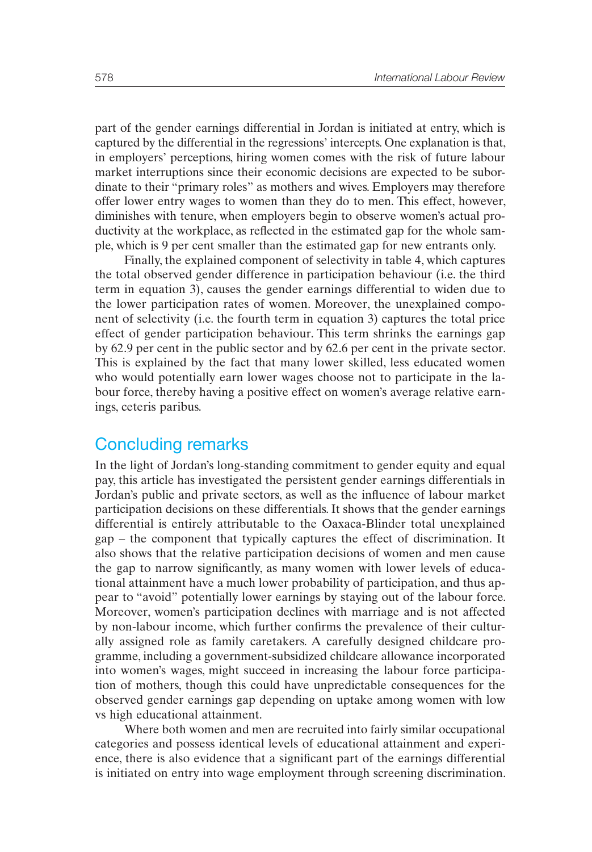part of the gender earnings differential in Jordan is initiated at entry, which is captured by the differential in the regressions' intercepts. One explanation is that, in employers' perceptions, hiring women comes with the risk of future labour market interruptions since their economic decisions are expected to be subordinate to their "primary roles" as mothers and wives. Employers may therefore offer lower entry wages to women than they do to men. This effect, however, diminishes with tenure, when employers begin to observe women's actual productivity at the workplace, as reflected in the estimated gap for the whole sample, which is 9 per cent smaller than the estimated gap for new entrants only.

Finally, the explained component of selectivity in table 4, which captures the total observed gender difference in participation behaviour (i.e. the third term in equation 3), causes the gender earnings differential to widen due to the lower participation rates of women. Moreover, the unexplained component of selectivity (i.e. the fourth term in equation 3) captures the total price effect of gender participation behaviour. This term shrinks the earnings gap by 62.9 per cent in the public sector and by 62.6 per cent in the private sector. This is explained by the fact that many lower skilled, less educated women who would potentially earn lower wages choose not to participate in the labour force, thereby having a positive effect on women's average relative earnings, ceteris paribus.

# Concluding remarks

In the light of Jordan's long-standing commitment to gender equity and equal pay, this article has investigated the persistent gender earnings differentials in Jordan's public and private sectors, as well as the influence of labour market participation decisions on these differentials. It shows that the gender earnings differential is entirely attributable to the Oaxaca-Blinder total unexplained gap – the component that typically captures the effect of discrimination. It also shows that the relative participation decisions of women and men cause the gap to narrow significantly, as many women with lower levels of educational attainment have a much lower probability of participation, and thus appear to "avoid" potentially lower earnings by staying out of the labour force. Moreover, women's participation declines with marriage and is not affected by non-labour income, which further confirms the prevalence of their culturally assigned role as family caretakers. A carefully designed childcare programme, including a government-subsidized childcare allowance incorporated into women's wages, might succeed in increasing the labour force participation of mothers, though this could have unpredictable consequences for the observed gender earnings gap depending on uptake among women with low vs high educational attainment.

Where both women and men are recruited into fairly similar occupational categories and possess identical levels of educational attainment and experience, there is also evidence that a significant part of the earnings differential is initiated on entry into wage employment through screening discrimination.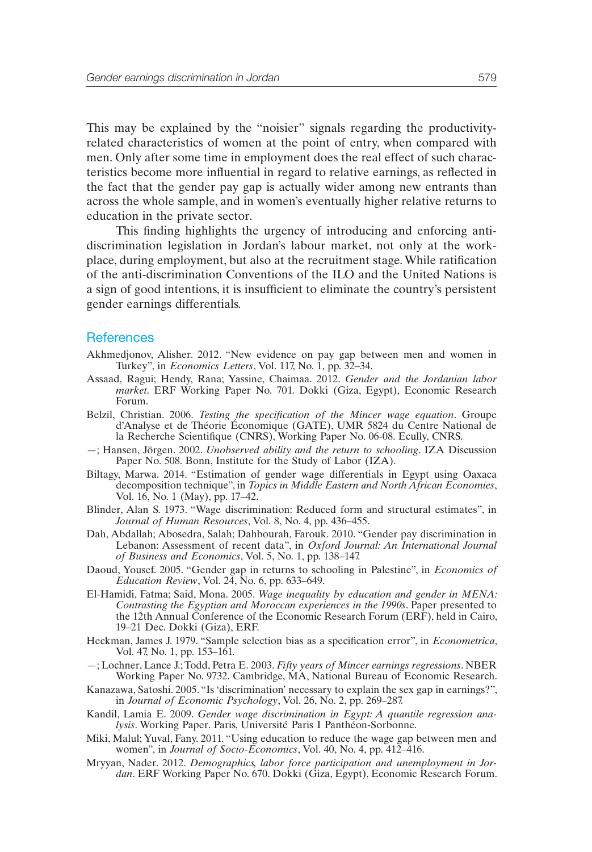This may be explained by the "noisier" signals regarding the productivityrelated characteristics of women at the point of entry, when compared with men. Only after some time in employment does the real effect of such characteristics become more influential in regard to relative earnings, as reflected in the fact that the gender pay gap is actually wider among new entrants than across the whole sample, and in women's eventually higher relative returns to education in the private sector.

This finding highlights the urgency of introducing and enforcing antidiscrimination legislation in Jordan's labour market, not only at the workplace, during employment, but also at the recruitment stage. While ratification of the anti-discrimination Conventions of the ILO and the United Nations is a sign of good intentions, it is insufficient to eliminate the country's persistent gender earnings differentials.

#### **References**

- Akhmedjonov, Alisher. 2012. "New evidence on pay gap between men and women in Turkey", in *Economics Letters*, Vol. 117, No. 1, pp. 32–34.
- Assaad, Ragui; Hendy, Rana; Yassine, Chaimaa. 2012. *Gender and the Jordanian labor market*. ERF Working Paper No. 701. Dokki (Giza, Egypt), Economic Research Forum.
- Belzil, Christian. 2006. *Testing the specification of the Mincer wage equation*. Groupe d'Analyse et de Théorie Économique (GATE), UMR 5824 du Centre National de la Recherche Scientifique (CNRS), Working Paper No. 06-08. Ecully, CNRS.
- —; Hansen, Jörgen. 2002. *Unobserved ability and the return to schooling*. IZA Discussion Paper No. 508. Bonn, Institute for the Study of Labor (IZA).
- Biltagy, Marwa. 2014. "Estimation of gender wage differentials in Egypt using Oaxaca decomposition technique", in *Topics in Middle Eastern and North African Economies*, Vol. 16, No. 1 (May), pp. 17–42.
- Blinder, Alan S. 1973. "Wage discrimination: Reduced form and structural estimates", in *Journal of Human Resources*, Vol. 8, No. 4, pp. 436–455.
- Dah, Abdallah; Abosedra, Salah; Dahbourah, Farouk. 2010. "Gender pay discrimination in Lebanon: Assessment of recent data", in *Oxford Journal: An International Journal of Business and Economics*, Vol. 5, No. 1, pp. 138–147.
- Daoud, Yousef. 2005. "Gender gap in returns to schooling in Palestine", in *Economics of Education Review*, Vol. 24, No. 6, pp. 633–649.
- El-Hamidi, Fatma; Said, Mona. 2005. *Wage inequality by education and gender in MENA: Contrasting the Egyptian and Moroccan experiences in the 1990s*. Paper presented to the 12th Annual Conference of the Economic Research Forum (ERF), held in Cairo, 19–21 Dec. Dokki (Giza), ERF.
- Heckman, James J. 1979. "Sample selection bias as a specification error", in *Econometrica*, Vol. 47, No. 1, pp. 153–161.
- —; Lochner, Lance J.; Todd, Petra E. 2003. *Fifty years of Mincer earnings regressions*. NBER Working Paper No. 9732. Cambridge, MA, National Bureau of Economic Research.
- Kanazawa, Satoshi. 2005. "Is 'discrimination' necessary to explain the sex gap in earnings?", in *Journal of Economic Psychology*, Vol. 26, No. 2, pp. 269–287.
- Kandil, Lamia E. 2009. *Gender wage discrimination in Egypt: A quantile regression analysis*. Working Paper. Paris, Université Paris I Panthéon-Sorbonne.
- Miki, Malul; Yuval, Fany. 2011. "Using education to reduce the wage gap between men and women", in *Journal of Socio-Economics*, Vol. 40, No. 4, pp. 412–416.
- Mryyan, Nader. 2012. *Demographics, labor force participation and unemployment in Jordan*. ERF Working Paper No. 670. Dokki (Giza, Egypt), Economic Research Forum.